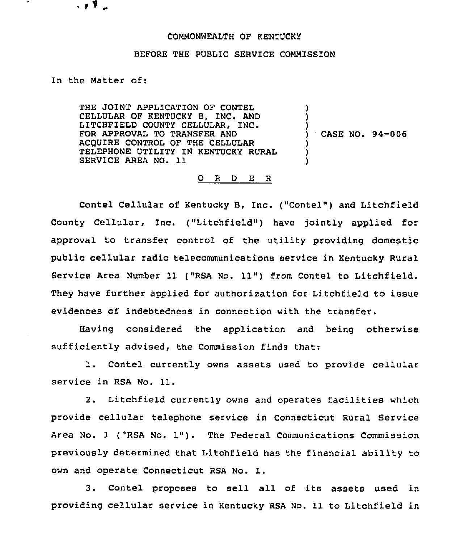## COMMONWEALTH OF KENTUCKY

## BEFORE THE PUBLIC SERVICE COMMISSION

## In the Matter of:

√, V

THE JOINT APPLICATION OF CONTEL CELLULAR OF KENTUCKY B, INC. AND LITCHFIELD COUNTY CELLUIAR, INC. FOR APPROVAL TO TRANSFER AND ACQUIRE CONTROL OF THE CELLULAR TELEPHONE UTILITY IN KENTUCKY RURAL SERVICE AREA NO. 11 ) ) ) ) ) )

) CASE NO. 94-006

## 0 <sup>R</sup> <sup>D</sup> E R

Contel Cellular of Kentucky B, Inc. ("Contel") and Litchfield County Cellular, Inc. ("Litchfield") have jointly applied for approval to transfer control of the utility providing domestic public cellular radio telecommunications service in Kentucky Rural Service Area Number 11 ("RSA No. 11") from Contel to Litchfield. They have further applied for authorization for Litchfield to issue evidences of indebtedness in connection with the transfer.

Having considered the application and being otherwise sufficiently advised, the Commission finds that:

1. Contel currently owns assets used to provide cellular service in RSA No. 11.

2. Litchfield currently owns and operates facilities which provide cellular telephone service in Connecticut Rural Service Area No. <sup>1</sup> ("RSA No. 1"). The Federal Communications Commission previously determined that Litchfield has the financial ability to own and operate Connecticut RSA No. 1.

3. Contel proposes to sell all of its assets used in providing cellular service in Kentucky RSA No. 11 to Litchfield in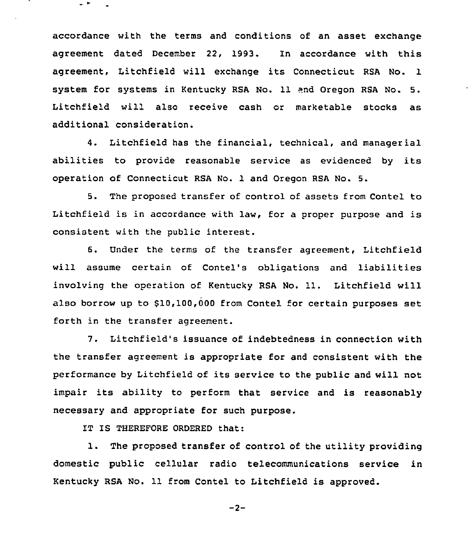accordance with the terms and conditions of an asset exchange agreement dated December 22, 1993. In accordance with this agreement, Litchfield will exchange its Connecticut RSA No. 1 system for systems in Kentucky RSA No. 11 end Oregon RSA No. 5. Litchfield will also receive cash or marketable stocks as additional consideration.

4. Litchfield has the financial, technical, and managerial abilities to provide reasonable service as evidenced by its operation of Connecticut RSA No. 1 and Oregon RSA No. 5.

5. The proposed transfer of control of assets from Contel to Litchfield is in accordance with law, for <sup>a</sup> proper purpose and is consistent with the public interest.

6. Under the terms of the transfer agreement, Litchfield will assume certain of Contel's obligations and liabilities involving the operation of Kentucky RSA No. 11. Litchfield will also borrow up to \$10,100,000 from Contel for certain purposes set forth in the transfer agreement.

7. Litchfield's issuance of indebtedness in connection with the transfer agreement is appropriate for and consistent with the performance by Litchfield of its service to the public and will not impair its ability to perform that service and is reasonably necessary and appropriate for such purpose.

IT IS THEREFORE ORDERED that:

 $\overline{a}$ 

1. The proposed transfer of control of the utility providing domestic public cellular radio telecommunications service in Kentucky RSA No. 11 from Contel to Litchfield is approved.

 $-2-$